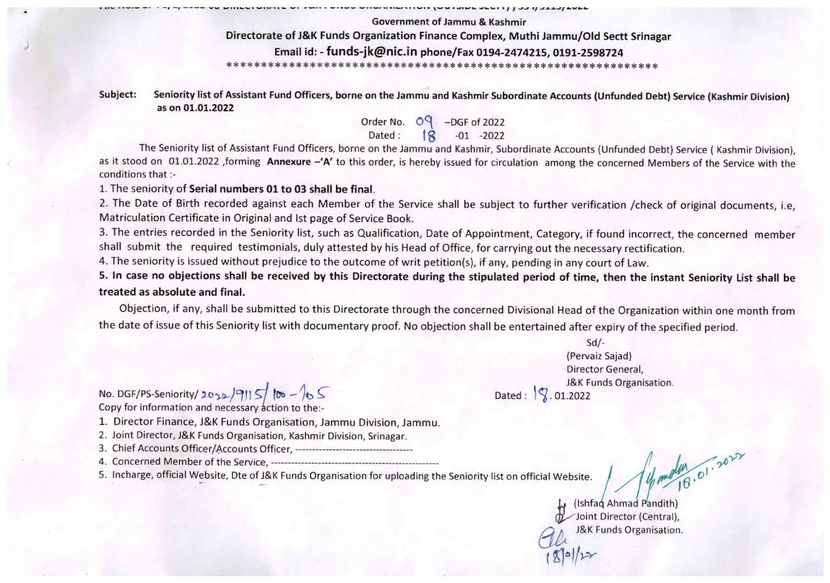## Government of Jammu & Kashmir Directorate of J&K Funds Organization Finance Complex, Muthi Jammu/Old Sectt Srinagar Email Id: - funds-jk@nic.in phone/Fax 0194-2474215, 0191-2598724

WITH RESERVED TO A TURN AND THE THE RESERVED OF THE STATE OF A VEHICLE OF THE STATE OF THE STATE OF THE STATE OF THE STATE OF THE STATE OF THE STATE OF THE STATE OF THE STATE OF THE STATE OF THE STATE OF THE STATE OF THE S

Subject: Seniority list of Assistant Fund Officers, borne on the Jammu and Kashmir Subordinate Accounts (Unfunded Debt) Service (Kashmir Division) as on 01.01.2022

> Order No.  $O^4$  -DGF of 2022 Dated: jg -01 -2022

The Seniority list of Assistant Fund Officers, borne on the Jammu and Kashmir, Subordinate Accounts (Unfunded Debt) Service ( Kashmir Division), as it stood on 01.01.2022 ,forming Annexure -'A' to this order, is hereby issued for circulation among the concerned Members of the Service with the conditions that :-

1. The seniority of Serial numbers 01 to 03 shall be final.

2. The Date of Birth recorded against each Member of the Service shall be subject to further verification /check of original documents, i.e. Matriculation Certificate in Original and 1st page of Service Book.

3. The entries recorded in the Seniority list, such as Qualification, Date of Appointment, Category, if found incorrect, the concerned member shall submit the required testimonials, duly attested by his Head of Office, for carrying out the necessary rectification.

4. The seniority is issued without prejudice to the outcome of writ petition(s), if any, pending in any court of Law.

5. In case no objections shall be received by this Directorate during the stipulated period of time, then the instant Seniority List shall be treated as absolute and final.

Objection, if any, shall be submitted to this Directorate through the concerned Divisional Head of the Organization within one month from the date of issue of this Seniority list with documentary proof. No objection shall be entertained after expiry of the specified period.

> Sd/- (Pervaiz Sajad) Director General, J&K Funds Organisation.<br>Dated :  $\sqrt{ }$ . 01.2022

No. DGF/PS-Seniority/2022/9115/  $\sim$  -105 Copy for information and necessary action to the:-

1. Director Finance, J&K Funds Organisation, Jammu Division, Jammu.

2. Joint Director, J&K Funds Organisation, Kashmir Division, Srinagar.

3. Chief Accounts Officer/Accounts Officer,

4. Concerned Member of the Service,

5. Incharge, official Website, Dte of J&K Funds Organisation for uploading the Seniority list on official Website.

(Ishfaq Ahmad Pandith) ^^Joint Director (Central), J&K Funds Organisation.